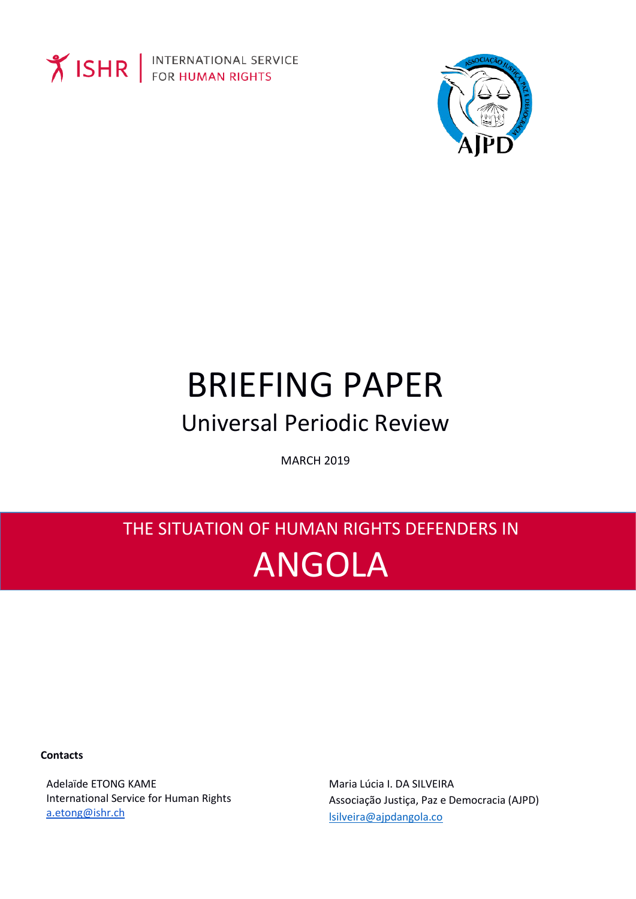

**Y ISHR** FOR HUMAN RIGHTS



# **BRIEFING PAPER Universal Periodic Review**

**MARCH 2019** 

## THE SITUATION OF HUMAN RIGHTS DEFENDERS IN **ANGOLA**

**Contacts** 

Adelaïde ETONG KAME International Service for Human Rights a.etong@ishr.ch

Maria Lúcia I. DA SILVEIRA Associação Justiça, Paz e Democracia (AJPD) Isilveira@ajpdangola.co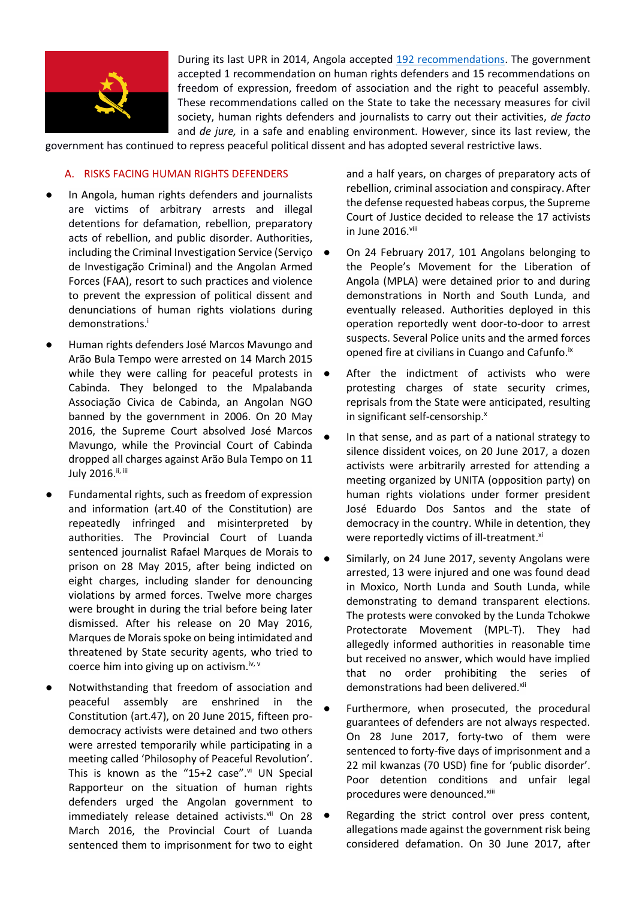

During its last UPR in 2014, Angola accepted [192 recommendations.](https://documents-dds-ny.un.org/doc/UNDOC/GEN/G14/234/92/PDF/G1423492.pdf?OpenElement) The government accepted 1 recommendation on human rights defenders and 15 recommendations on freedom of expression, freedom of association and the right to peaceful assembly. These recommendations called on the State to take the necessary measures for civil society, human rights defenders and journalists to carry out their activities, *de facto*  and *de jure,* in a safe and enabling environment. However, since its last review, the

government has continued to repress peaceful political dissent and has adopted several restrictive laws.

#### A. RISKS FACING HUMAN RIGHTS DEFENDERS

- **●** In Angola, human rights defenders and journalists are victims of arbitrary arrests and illegal detentions for defamation, rebellion, preparatory acts of rebellion, and public disorder. Authorities, including the Criminal Investigation Service (Serviço de Investigação Criminal) and the Angolan Armed Forces (FAA), resort to such practices and violence to prevent the expression of political dissent and denunciations of human rights violations during demonstrations.<sup>i</sup>
- **●** Human rights defenders José Marcos Mavungo and Arão Bula Tempo were arrested on 14 March 2015 while they were calling for peaceful protests in  $\bullet$ Cabinda. They belonged to the Mpalabanda Associação Civica de Cabinda, an Angolan NGO banned by the government in 2006. On 20 May 2016, the Supreme Court absolved José Marcos Mavungo, while the Provincial Court of Cabinda dropped all charges against Arão Bula Tempo on 11 July 2016.<sup>ii, iii</sup>
- **●** Fundamental rights, such as freedom of expression and information (art.40 of the Constitution) are repeatedly infringed and misinterpreted by authorities. The Provincial Court of Luanda sentenced journalist Rafael Marques de Morais to prison on 28 May 2015, after being indicted on eight charges, including slander for denouncing violations by armed forces. Twelve more charges were brought in during the trial before being later dismissed. After his release on 20 May 2016, Marques de Morais spoke on being intimidated and threatened by State security agents, who tried to coerce him into giving up on activism.<sup>iv, v</sup>
- **●** Notwithstanding that freedom of association and peaceful assembly are enshrined in the Constitution (art.47), on 20 June 2015, fifteen prodemocracy activists were detained and two others were arrested temporarily while participating in a meeting called 'Philosophy of Peaceful Revolution'. This is known as the "15+2 case". $vi$  UN Special Rapporteur on the situation of human rights defenders urged the Angolan government to immediately release detained activists.vii On 28 March 2016, the Provincial Court of Luanda sentenced them to imprisonment for two to eight

and a half years, on charges of preparatory acts of rebellion, criminal association and conspiracy.After the defense requested habeas corpus, the Supreme Court of Justice decided to release the 17 activists in June 2016.viii

- On 24 February 2017, 101 Angolans belonging to the People's Movement for the Liberation of Angola (MPLA) were detained prior to and during demonstrations in North and South Lunda, and eventually released. Authorities deployed in this operation reportedly went door-to-door to arrest suspects. Several Police units and the armed forces opened fire at civilians in Cuango and Cafunfo.<sup>ix</sup>
- After the indictment of activists who were protesting charges of state security crimes, reprisals from the State were anticipated, resulting in significant self-censorship.<sup>x</sup>
- In that sense, and as part of a national strategy to silence dissident voices, on 20 June 2017, a dozen activists were arbitrarily arrested for attending a meeting organized by UNITA (opposition party) on human rights violations under former president José Eduardo Dos Santos and the state of democracy in the country. While in detention, they were reportedly victims of ill-treatment.<sup>xi</sup>
- Similarly, on 24 June 2017, seventy Angolans were arrested, 13 were injured and one was found dead in Moxico, North Lunda and South Lunda, while demonstrating to demand transparent elections. The protests were convoked by the Lunda Tchokwe Protectorate Movement (MPL-T). They had allegedly informed authorities in reasonable time but received no answer, which would have implied that no order prohibiting the series of demonstrations had been delivered.<sup>xii</sup>
- Furthermore, when prosecuted, the procedural guarantees of defenders are not always respected. On 28 June 2017, forty-two of them were sentenced to forty-five days of imprisonment and a 22 mil kwanzas (70 USD) fine for 'public disorder'. Poor detention conditions and unfair legal procedures were denounced.<sup>xiii</sup>
- Regarding the strict control over press content, allegations made against the government risk being considered defamation. On 30 June 2017, after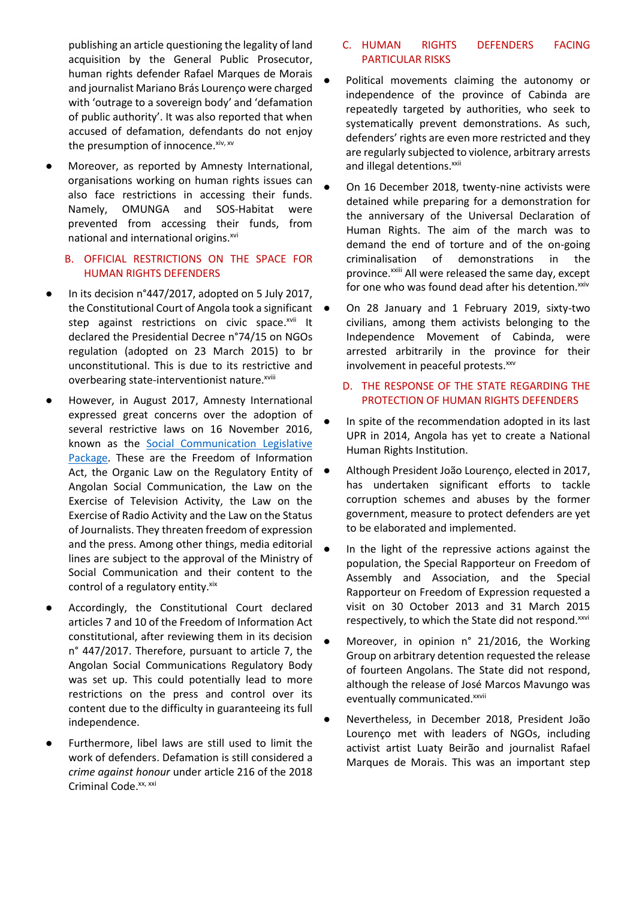publishing an article questioning the legality of land acquisition by the General Public Prosecutor, human rights defender Rafael Marques de Morais and journalist Mariano Brás Lourenço were charged with 'outrage to a sovereign body' and 'defamation of public authority'. It was also reported that when accused of defamation, defendants do not enjoy the presumption of innocence. xiv, xv

Moreover, as reported by Amnesty International, organisations working on human rights issues can also face restrictions in accessing their funds. Namely, OMUNGA and SOS-Habitat were prevented from accessing their funds, from national and international origins.<sup>xvi</sup>

#### B. OFFICIAL RESTRICTIONS ON THE SPACE FOR HUMAN RIGHTS DEFENDERS

- **●** In its decision n°447/2017, adopted on 5 July 2017, the Constitutional Court of Angola took a significant step against restrictions on civic space.<sup>xvii</sup> It declared the Presidential Decree n°74/15 on NGOs regulation (adopted on 23 March 2015) to br unconstitutional. This is due to its restrictive and overbearing state-interventionist nature.<sup>xviii</sup>
- **●** However, in August 2017, Amnesty International expressed great concerns over the adoption of several restrictive laws on 16 November 2016, known as the [Social Communication Legislative](http://www.mcs.gov.ao/verlegislacao.aspx?id=1192)  [Package.](http://www.mcs.gov.ao/verlegislacao.aspx?id=1192) These are the Freedom of Information Act, the Organic Law on the Regulatory Entity of Angolan Social Communication, the Law on the Exercise of Television Activity, the Law on the Exercise of Radio Activity and the Law on the Status of Journalists. They threaten freedom of expression and the press. Among other things, media editorial lines are subject to the approval of the Ministry of Social Communication and their content to the control of a regulatory entity. xix
- Accordingly, the Constitutional Court declared articles 7 and 10 of the Freedom of Information Act constitutional, after reviewing them in its decision n° 447/2017. Therefore, pursuant to article 7, the Angolan Social Communications Regulatory Body was set up. This could potentially lead to more restrictions on the press and control over its content due to the difficulty in guaranteeing its full independence.
- **●** Furthermore, libel laws are still used to limit the work of defenders. Defamation is still considered a *crime against honour* under article 216 of the 2018 Criminal Code.<sup>xx, xxi</sup>

#### C. HUMAN RIGHTS DEFENDERS FACING PARTICULAR RISKS

- Political movements claiming the autonomy or independence of the province of Cabinda are repeatedly targeted by authorities, who seek to systematically prevent demonstrations. As such, defenders' rights are even more restricted and they are regularly subjected to violence, arbitrary arrests and illegal detentions.<sup>xxii</sup>
- On 16 December 2018, twenty-nine activists were detained while preparing for a demonstration for the anniversary of the Universal Declaration of Human Rights. The aim of the march was to demand the end of torture and of the on-going criminalisation of demonstrations in the province.<sup>xxiii</sup> All were released the same day, except for one who was found dead after his detention.<sup>xxiv</sup>
- On 28 January and 1 February 2019, sixty-two civilians, among them activists belonging to the Independence Movement of Cabinda, were arrested arbitrarily in the province for their involvement in peaceful protests.<sup>xxv</sup>

### D. THE RESPONSE OF THE STATE REGARDING THE PROTECTION OF HUMAN RIGHTS DEFENDERS

- In spite of the recommendation adopted in its last UPR in 2014, Angola has yet to create a National Human Rights Institution.
- **●** Although President João Lourenço, elected in 2017, has undertaken significant efforts to tackle corruption schemes and abuses by the former government, measure to protect defenders are yet to be elaborated and implemented.
- In the light of the repressive actions against the population, the Special Rapporteur on Freedom of Assembly and Association, and the Special Rapporteur on Freedom of Expression requested a visit on 30 October 2013 and 31 March 2015 respectively, to which the State did not respond.<sup>xxvi</sup>
- Moreover, in opinion n° 21/2016, the Working Group on arbitrary detention requested the release of fourteen Angolans. The State did not respond, although the release of José Marcos Mavungo was eventually communicated.xxvii
- Nevertheless, in December 2018, President João Lourenço met with leaders of NGOs, including activist artist Luaty Beirão and journalist Rafael Marques de Morais. This was an important step